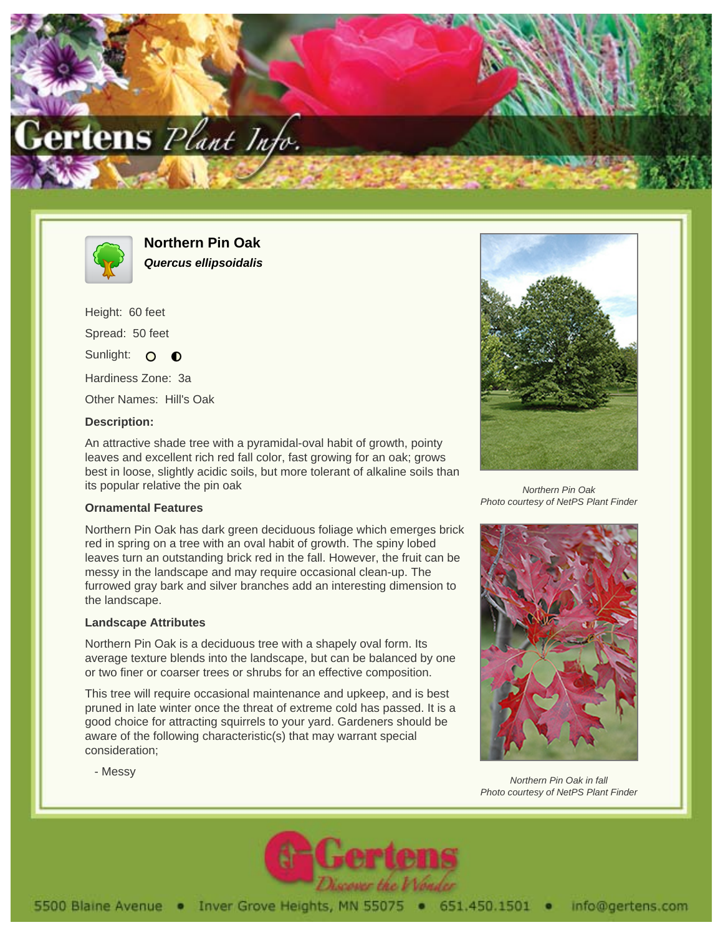



**Northern Pin Oak Quercus ellipsoidalis**

Height: 60 feet Spread: 50 feet Sunlight: O  $\bullet$ 

Hardiness Zone: 3a

Other Names: Hill's Oak

## **Description:**

An attractive shade tree with a pyramidal-oval habit of growth, pointy leaves and excellent rich red fall color, fast growing for an oak; grows best in loose, slightly acidic soils, but more tolerant of alkaline soils than its popular relative the pin oak

## **Ornamental Features**

Northern Pin Oak has dark green deciduous foliage which emerges brick red in spring on a tree with an oval habit of growth. The spiny lobed leaves turn an outstanding brick red in the fall. However, the fruit can be messy in the landscape and may require occasional clean-up. The furrowed gray bark and silver branches add an interesting dimension to the landscape.

## **Landscape Attributes**

Northern Pin Oak is a deciduous tree with a shapely oval form. Its average texture blends into the landscape, but can be balanced by one or two finer or coarser trees or shrubs for an effective composition.

This tree will require occasional maintenance and upkeep, and is best pruned in late winter once the threat of extreme cold has passed. It is a good choice for attracting squirrels to your yard. Gardeners should be aware of the following characteristic(s) that may warrant special consideration;



Northern Pin Oak Photo courtesy of NetPS Plant Finder



Northern Pin Oak in fall Photo courtesy of NetPS Plant Finder



- Messy